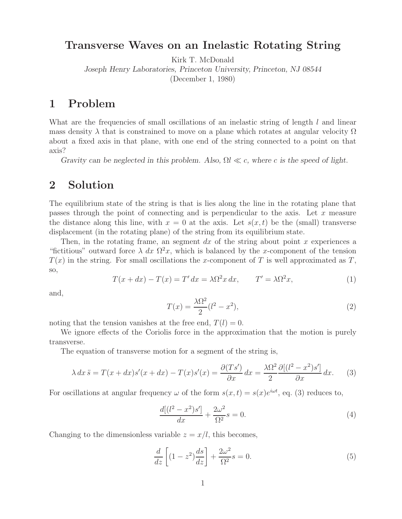## **Transverse Waves on an Inelastic Rotating String**

Kirk T. McDonald

*Joseph Henry Laboratories, Princeton University, Princeton, NJ 08544*

(December 1, 1980)

## **1 Problem**

What are the frequencies of small oscillations of an inelastic string of length  $l$  and linear mass density  $\lambda$  that is constrained to move on a plane which rotates at angular velocity  $\Omega$ about a fixed axis in that plane, with one end of the string connected to a point on that axis?

*Gravity can be neglected in this problem. Also,*  $\Omega l \ll c$ *, where c is the speed of light.* 

## **2 Solution**

The equilibrium state of the string is that is lies along the line in the rotating plane that passes through the point of connecting and is perpendicular to the axis. Let  $x$  measure the distance along this line, with  $x = 0$  at the axis. Let  $s(x, t)$  be the (small) transverse displacement (in the rotating plane) of the string from its equilibrium state.

Then, in the rotating frame, an segment dx of the string about point  $x$  experiences a "fictitious" outward force  $\lambda dx \Omega^2 x$ , which is balanced by the x-component of the tension  $T(x)$  in the string. For small oscillations the x-component of T is well approximated as T, so,

$$
T(x+dx) - T(x) = T' dx = \lambda \Omega^2 x dx, \qquad T' = \lambda \Omega^2 x,
$$
\n(1)

and,

$$
T(x) = \frac{\lambda \Omega^2}{2} (l^2 - x^2),\tag{2}
$$

noting that the tension vanishes at the free end,  $T(l) = 0$ .

We ignore effects of the Coriolis force in the approximation that the motion is purely transverse.

The equation of transverse motion for a segment of the string is,

$$
\lambda \, dx \ddot{s} = T(x + dx)s'(x + dx) - T(x)s'(x) = \frac{\partial (Ts')}{\partial x} \, dx = \frac{\lambda \Omega^2}{2} \frac{\partial [(l^2 - x^2)s']}{\partial x} \, dx. \tag{3}
$$

For oscillations at angular frequency  $\omega$  of the form  $s(x,t) = s(x)e^{i\omega t}$ , eq. (3) reduces to,

$$
\frac{d[(l^2 - x^2)s']}{dx} + \frac{2\omega^2}{\Omega^2}s = 0.
$$
\n(4)

Changing to the dimensionless variable  $z = x/l$ , this becomes,

$$
\frac{d}{dz}\left[ (1-z^2)\frac{ds}{dz} \right] + \frac{2\omega^2}{\Omega^2}s = 0.
$$
\n(5)